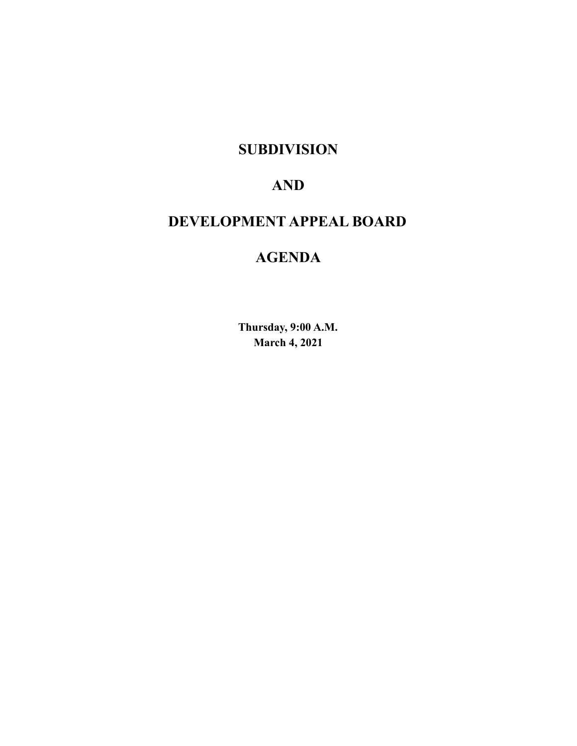**SUBDIVISION**

# **AND**

# **DEVELOPMENT APPEAL BOARD**

# **AGENDA**

**Thursday, 9:00 A.M. March 4, 2021**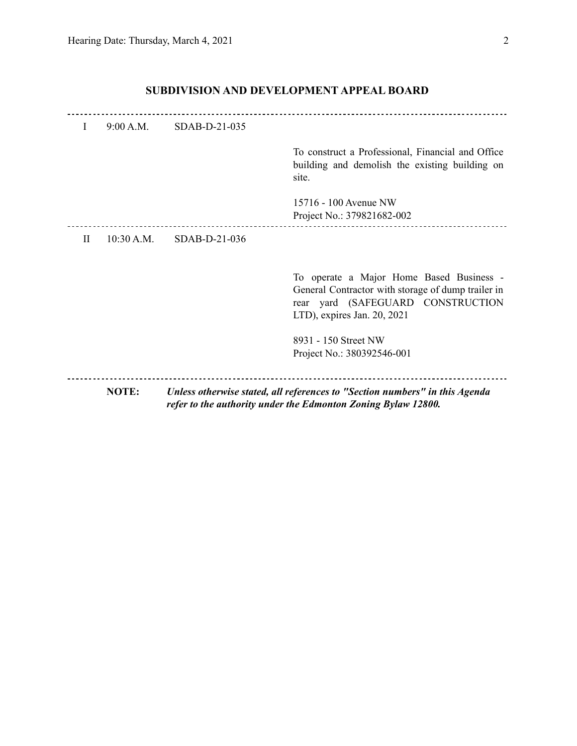| $\mathbf{I}$ | 9:00 A.M.    | SDAB-D-21-035   |                                                                                                                                                                       |
|--------------|--------------|-----------------|-----------------------------------------------------------------------------------------------------------------------------------------------------------------------|
|              |              |                 | To construct a Professional, Financial and Office<br>building and demolish the existing building on<br>site.                                                          |
|              |              |                 | 15716 - 100 Avenue NW<br>Project No.: 379821682-002                                                                                                                   |
| H            | 10:30 A.M.   | $SDAB-D-21-036$ |                                                                                                                                                                       |
|              |              |                 | To operate a Major Home Based Business -<br>General Contractor with storage of dump trailer in<br>yard (SAFEGUARD CONSTRUCTION<br>rear<br>LTD), expires Jan. 20, 2021 |
|              |              |                 | 8931 - 150 Street NW<br>Project No.: 380392546-001                                                                                                                    |
|              | <b>NOTE:</b> |                 | Unless otherwise stated, all references to "Section numbers" in this Agenda<br>refer to the authority under the Edmonton Zoning Bylaw 12800.                          |

## **SUBDIVISION AND DEVELOPMENT APPEAL BOARD**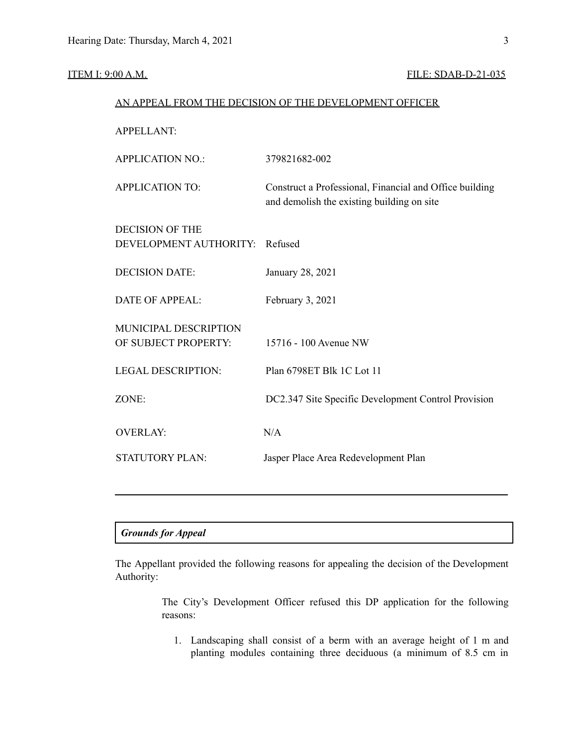#### ITEM I: 9:00 A.M. **FILE: SDAB-D-21-035**

| AN APPEAL FROM THE DECISION OF THE DEVELOPMENT OFFICER |                                                                                                       |  |  |  |
|--------------------------------------------------------|-------------------------------------------------------------------------------------------------------|--|--|--|
| <b>APPELLANT:</b>                                      |                                                                                                       |  |  |  |
| <b>APPLICATION NO.:</b>                                | 379821682-002                                                                                         |  |  |  |
| <b>APPLICATION TO:</b>                                 | Construct a Professional, Financial and Office building<br>and demolish the existing building on site |  |  |  |
| <b>DECISION OF THE</b><br>DEVELOPMENT AUTHORITY:       | Refused                                                                                               |  |  |  |
| <b>DECISION DATE:</b>                                  | January 28, 2021                                                                                      |  |  |  |
| <b>DATE OF APPEAL:</b>                                 | February 3, 2021                                                                                      |  |  |  |
| MUNICIPAL DESCRIPTION<br>OF SUBJECT PROPERTY:          | 15716 - 100 Avenue NW                                                                                 |  |  |  |
| <b>LEGAL DESCRIPTION:</b>                              | Plan 6798ET Blk 1C Lot 11                                                                             |  |  |  |
| ZONE:                                                  | DC2.347 Site Specific Development Control Provision                                                   |  |  |  |
| <b>OVERLAY:</b>                                        | N/A                                                                                                   |  |  |  |
| <b>STATUTORY PLAN:</b>                                 | Jasper Place Area Redevelopment Plan                                                                  |  |  |  |
|                                                        |                                                                                                       |  |  |  |

### *Grounds for Appeal*

The Appellant provided the following reasons for appealing the decision of the Development Authority:

> The City's Development Officer refused this DP application for the following reasons:

1. Landscaping shall consist of a berm with an average height of 1 m and planting modules containing three deciduous (a minimum of 8.5 cm in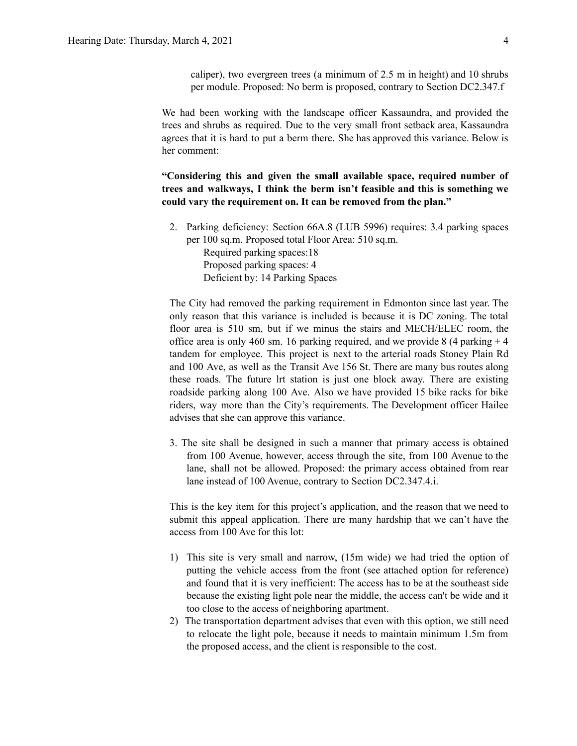caliper), two evergreen trees (a minimum of 2.5 m in height) and 10 shrubs per module. Proposed: No berm is proposed, contrary to Section DC2.347.f

We had been working with the landscape officer Kassaundra, and provided the trees and shrubs as required. Due to the very small front setback area, Kassaundra agrees that it is hard to put a berm there. She has approved this variance. Below is her comment:

**"Considering this and given the small available space, required number of trees and walkways, I think the berm isn't feasible and this is something we could vary the requirement on. It can be removed from the plan."**

2. Parking deficiency: Section 66A.8 (LUB 5996) requires: 3.4 parking spaces per 100 sq.m. Proposed total Floor Area: 510 sq.m. Required parking spaces:18

Proposed parking spaces: 4 Deficient by: 14 Parking Spaces

The City had removed the parking requirement in Edmonton since last year. The only reason that this variance is included is because it is DC zoning. The total floor area is 510 sm, but if we minus the stairs and MECH/ELEC room, the office area is only 460 sm. 16 parking required, and we provide 8 (4 parking  $+4$ ) tandem for employee. This project is next to the arterial roads Stoney Plain Rd and 100 Ave, as well as the Transit Ave 156 St. There are many bus routes along these roads. The future lrt station is just one block away. There are existing roadside parking along 100 Ave. Also we have provided 15 bike racks for bike riders, way more than the City's requirements. The Development officer Hailee advises that she can approve this variance.

3. The site shall be designed in such a manner that primary access is obtained from 100 Avenue, however, access through the site, from 100 Avenue to the lane, shall not be allowed. Proposed: the primary access obtained from rear lane instead of 100 Avenue, contrary to Section DC2.347.4.i.

This is the key item for this project's application, and the reason that we need to submit this appeal application. There are many hardship that we can't have the access from 100 Ave for this lot:

- 1) This site is very small and narrow, (15m wide) we had tried the option of putting the vehicle access from the front (see attached option for reference) and found that it is very inefficient: The access has to be at the southeast side because the existing light pole near the middle, the access can't be wide and it too close to the access of neighboring apartment.
- 2) The transportation department advises that even with this option, we still need to relocate the light pole, because it needs to maintain minimum 1.5m from the proposed access, and the client is responsible to the cost.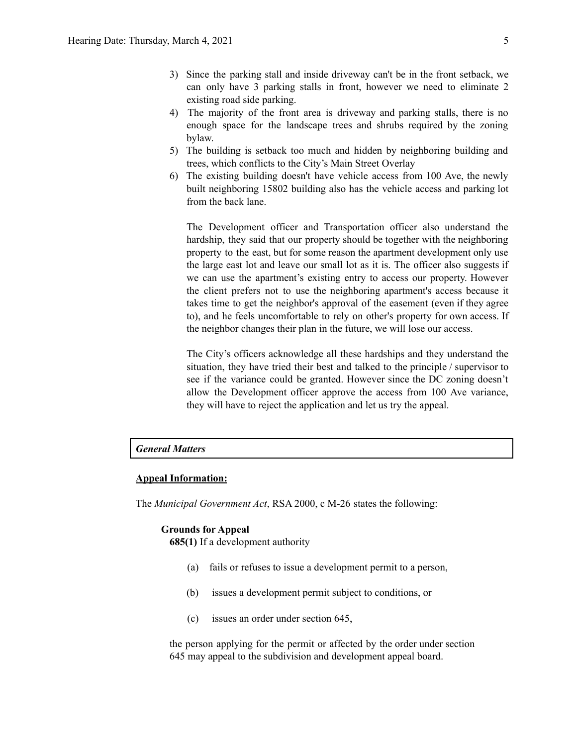- 3) Since the parking stall and inside driveway can't be in the front setback, we can only have 3 parking stalls in front, however we need to eliminate 2 existing road side parking.
- 4) The majority of the front area is driveway and parking stalls, there is no enough space for the landscape trees and shrubs required by the zoning bylaw.
- 5) The building is setback too much and hidden by neighboring building and trees, which conflicts to the City's Main Street Overlay
- 6) The existing building doesn't have vehicle access from 100 Ave, the newly built neighboring 15802 building also has the vehicle access and parking lot from the back lane.

The Development officer and Transportation officer also understand the hardship, they said that our property should be together with the neighboring property to the east, but for some reason the apartment development only use the large east lot and leave our small lot as it is. The officer also suggests if we can use the apartment's existing entry to access our property. However the client prefers not to use the neighboring apartment's access because it takes time to get the neighbor's approval of the easement (even if they agree to), and he feels uncomfortable to rely on other's property for own access. If the neighbor changes their plan in the future, we will lose our access.

The City's officers acknowledge all these hardships and they understand the situation, they have tried their best and talked to the principle / supervisor to see if the variance could be granted. However since the DC zoning doesn't allow the Development officer approve the access from 100 Ave variance, they will have to reject the application and let us try the appeal.

#### *General Matters*

#### **Appeal Information:**

The *Municipal Government Act*, RSA 2000, c M-26 states the following:

#### **Grounds for Appeal**

**685(1)** If a development authority

- (a) fails or refuses to issue a development permit to a person,
- (b) issues a development permit subject to conditions, or
- (c) issues an order under section 645,

the person applying for the permit or affected by the order under section 645 may appeal to the subdivision and development appeal board.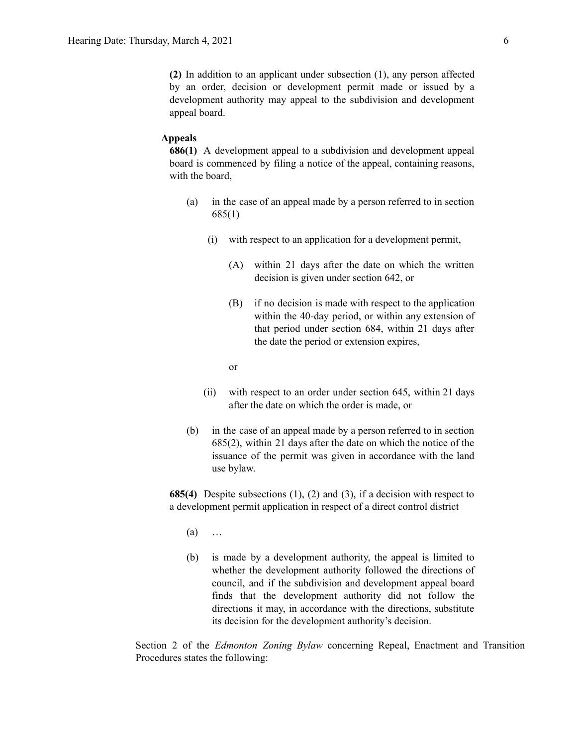**(2)** In addition to an applicant under subsection (1), any person affected by an order, decision or development permit made or issued by a development authority may appeal to the subdivision and development appeal board.

#### **Appeals**

**686(1)** A development appeal to a subdivision and development appeal board is commenced by filing a notice of the appeal, containing reasons, with the board,

- (a) in the case of an appeal made by a person referred to in section 685(1)
	- (i) with respect to an application for a development permit,
		- (A) within 21 days after the date on which the written decision is given under section 642, or
		- (B) if no decision is made with respect to the application within the 40-day period, or within any extension of that period under section 684, within 21 days after the date the period or extension expires,
		- or
	- (ii) with respect to an order under section 645, within 21 days after the date on which the order is made, or
- (b) in the case of an appeal made by a person referred to in section 685(2), within 21 days after the date on which the notice of the issuance of the permit was given in accordance with the land use bylaw.

**685(4)** Despite subsections (1), (2) and (3), if a decision with respect to a development permit application in respect of a direct control district

- $(a)$  ...
- (b) is made by a development authority, the appeal is limited to whether the development authority followed the directions of council, and if the subdivision and development appeal board finds that the development authority did not follow the directions it may, in accordance with the directions, substitute its decision for the development authority's decision.

Section 2 of the *Edmonton Zoning Bylaw* concerning Repeal, Enactment and Transition Procedures states the following: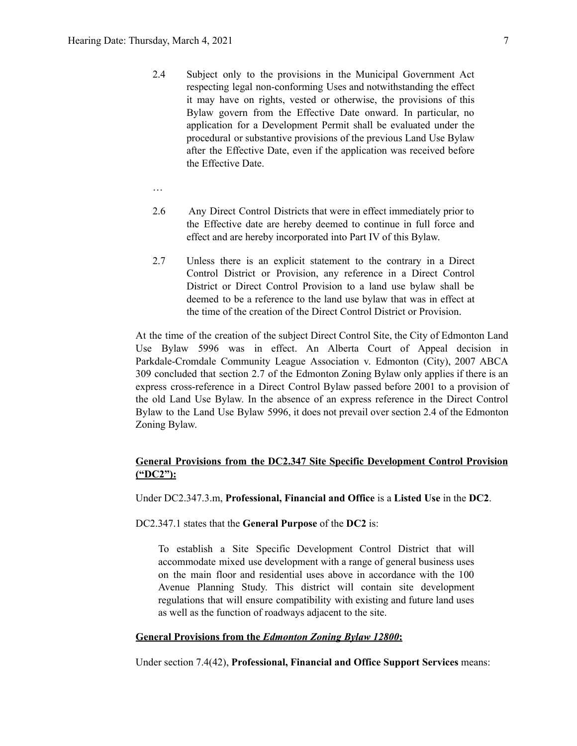- 2.4 Subject only to the provisions in the Municipal Government Act respecting legal non-conforming Uses and notwithstanding the effect it may have on rights, vested or otherwise, the provisions of this Bylaw govern from the Effective Date onward. In particular, no application for a Development Permit shall be evaluated under the procedural or substantive provisions of the previous Land Use Bylaw after the Effective Date, even if the application was received before the Effective Date.
- …
- 2.6 Any Direct Control Districts that were in effect immediately prior to the Effective date are hereby deemed to continue in full force and effect and are hereby incorporated into Part IV of this Bylaw.
- 2.7 Unless there is an explicit statement to the contrary in a Direct Control District or Provision, any reference in a Direct Control District or Direct Control Provision to a land use bylaw shall be deemed to be a reference to the land use bylaw that was in effect at the time of the creation of the Direct Control District or Provision.

At the time of the creation of the subject Direct Control Site, the City of Edmonton Land Use Bylaw 5996 was in effect. An Alberta Court of Appeal decision in Parkdale-Cromdale Community League Association v. Edmonton (City), 2007 ABCA 309 concluded that section 2.7 of the Edmonton Zoning Bylaw only applies if there is an express cross-reference in a Direct Control Bylaw passed before 2001 to a provision of the old Land Use Bylaw. In the absence of an express reference in the Direct Control Bylaw to the Land Use Bylaw 5996, it does not prevail over section 2.4 of the Edmonton Zoning Bylaw.

### **General Provisions from the DC2.347 Site Specific Development Control Provision ("DC2"):**

Under DC2.347.3.m, **Professional, Financial and Office** is a **Listed Use** in the **DC2**.

DC2.347.1 states that the **General Purpose** of the **DC2** is:

To establish a Site Specific Development Control District that will accommodate mixed use development with a range of general business uses on the main floor and residential uses above in accordance with the 100 Avenue Planning Study. This district will contain site development regulations that will ensure compatibility with existing and future land uses as well as the function of roadways adjacent to the site.

#### **General Provisions from the** *Edmonton Zoning Bylaw 12800***:**

Under section 7.4(42), **Professional, Financial and Office Support Services** means: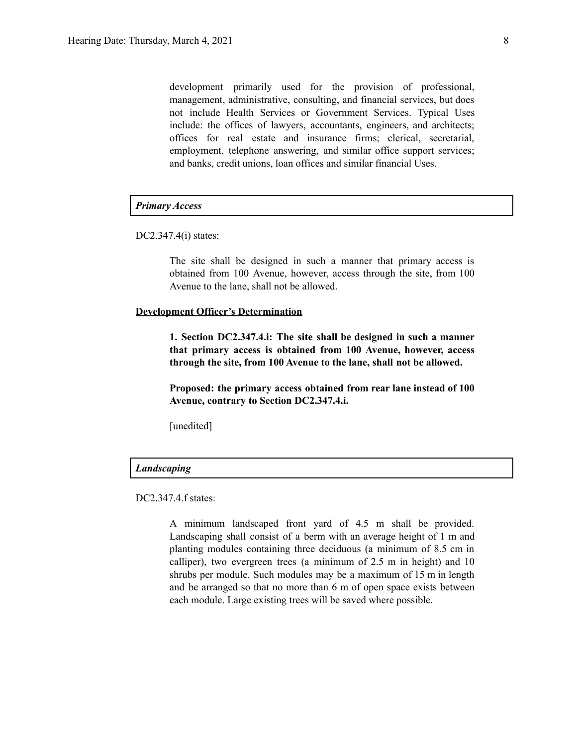development primarily used for the provision of professional, management, administrative, consulting, and financial services, but does not include Health Services or Government Services. Typical Uses include: the offices of lawyers, accountants, engineers, and architects; offices for real estate and insurance firms; clerical, secretarial, employment, telephone answering, and similar office support services; and banks, credit unions, loan offices and similar financial Uses.

#### *Primary Access*

DC2.347.4(i) states:

The site shall be designed in such a manner that primary access is obtained from 100 Avenue, however, access through the site, from 100 Avenue to the lane, shall not be allowed.

#### **Development Officer's Determination**

**1. Section DC2.347.4.i: The site shall be designed in such a manner that primary access is obtained from 100 Avenue, however, access through the site, from 100 Avenue to the lane, shall not be allowed.**

**Proposed: the primary access obtained from rear lane instead of 100 Avenue, contrary to Section DC2.347.4.i.**

[unedited]

#### *Landscaping*

DC2.347.4.f states:

A minimum landscaped front yard of 4.5 m shall be provided. Landscaping shall consist of a berm with an average height of 1 m and planting modules containing three deciduous (a minimum of 8.5 cm in calliper), two evergreen trees (a minimum of 2.5 m in height) and 10 shrubs per module. Such modules may be a maximum of 15 m in length and be arranged so that no more than 6 m of open space exists between each module. Large existing trees will be saved where possible.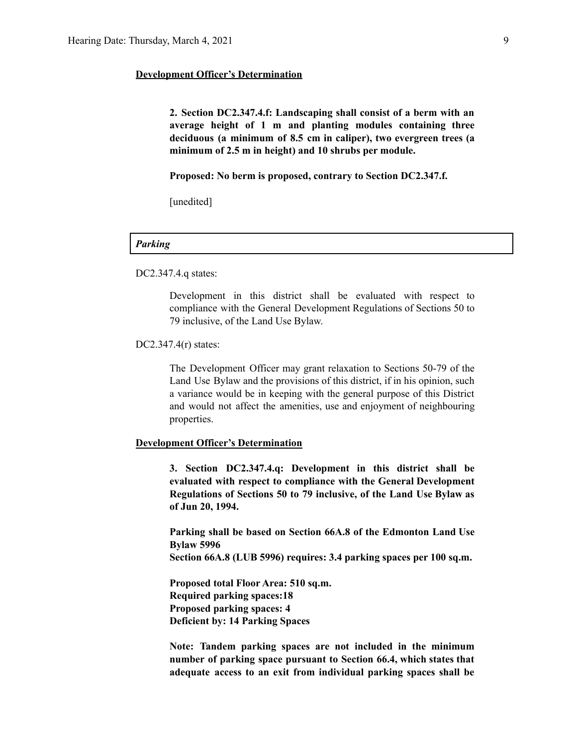#### **Development Officer's Determination**

**2. Section DC2.347.4.f: Landscaping shall consist of a berm with an average height of 1 m and planting modules containing three deciduous (a minimum of 8.5 cm in caliper), two evergreen trees (a minimum of 2.5 m in height) and 10 shrubs per module.**

**Proposed: No berm is proposed, contrary to Section DC2.347.f.**

[unedited]

#### *Parking*

DC2.347.4.q states:

Development in this district shall be evaluated with respect to compliance with the General Development Regulations of Sections 50 to 79 inclusive, of the Land Use Bylaw.

DC2.347.4(r) states:

The Development Officer may grant relaxation to Sections 50-79 of the Land Use Bylaw and the provisions of this district, if in his opinion, such a variance would be in keeping with the general purpose of this District and would not affect the amenities, use and enjoyment of neighbouring properties.

#### **Development Officer's Determination**

**3. Section DC2.347.4.q: Development in this district shall be evaluated with respect to compliance with the General Development Regulations of Sections 50 to 79 inclusive, of the Land Use Bylaw as of Jun 20, 1994.**

**Parking shall be based on Section 66A.8 of the Edmonton Land Use Bylaw 5996**

**Section 66A.8 (LUB 5996) requires: 3.4 parking spaces per 100 sq.m.**

**Proposed total Floor Area: 510 sq.m. Required parking spaces:18 Proposed parking spaces: 4 Deficient by: 14 Parking Spaces**

**Note: Tandem parking spaces are not included in the minimum number of parking space pursuant to Section 66.4, which states that adequate access to an exit from individual parking spaces shall be**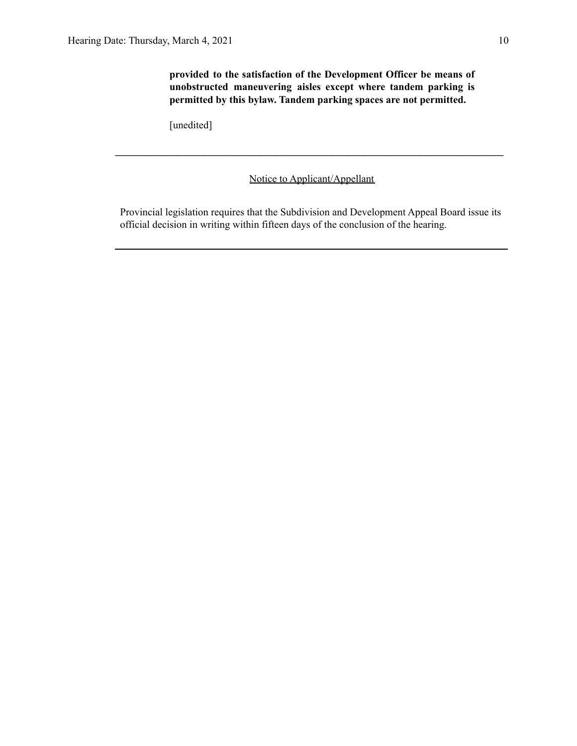**provided to the satisfaction of the Development Officer be means of unobstructed maneuvering aisles except where tandem parking is permitted by this bylaw. Tandem parking spaces are not permitted.**

[unedited]

### Notice to Applicant/Appellant

**\_\_\_\_\_\_\_\_\_\_\_\_\_\_\_\_\_\_\_\_\_\_\_\_\_\_\_\_\_\_\_\_\_\_\_\_\_\_\_\_\_\_\_\_\_\_\_\_\_\_\_\_\_\_\_\_\_\_\_\_\_\_\_\_\_\_\_\_\_\_\_\_\_\_\_**

Provincial legislation requires that the Subdivision and Development Appeal Board issue its official decision in writing within fifteen days of the conclusion of the hearing.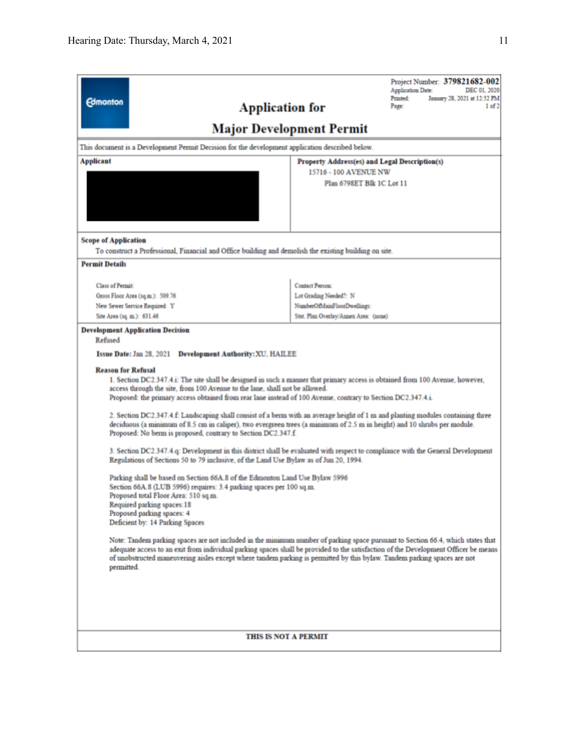|                                                                                                                                                                                                                                                                                                                                                                                                    | Project Number: 379821682-002<br><b>Application Date:</b><br>DEC 01, 2020             |  |  |  |  |  |
|----------------------------------------------------------------------------------------------------------------------------------------------------------------------------------------------------------------------------------------------------------------------------------------------------------------------------------------------------------------------------------------------------|---------------------------------------------------------------------------------------|--|--|--|--|--|
| <b>Edmonton</b>                                                                                                                                                                                                                                                                                                                                                                                    | January 28, 2021 at 12:52 PM<br>Printed:<br><b>Application for</b><br>Page:<br>1 of 2 |  |  |  |  |  |
| <b>Major Development Permit</b>                                                                                                                                                                                                                                                                                                                                                                    |                                                                                       |  |  |  |  |  |
| This document is a Development Permit Decision for the development application described below.                                                                                                                                                                                                                                                                                                    |                                                                                       |  |  |  |  |  |
| <b>Applicant</b><br>Property Address(es) and Legal Description(s)                                                                                                                                                                                                                                                                                                                                  |                                                                                       |  |  |  |  |  |
| 15716 - 100 AVENUE NW<br>Plan 6798ET Blk 1C Lot 11                                                                                                                                                                                                                                                                                                                                                 |                                                                                       |  |  |  |  |  |
|                                                                                                                                                                                                                                                                                                                                                                                                    |                                                                                       |  |  |  |  |  |
|                                                                                                                                                                                                                                                                                                                                                                                                    |                                                                                       |  |  |  |  |  |
|                                                                                                                                                                                                                                                                                                                                                                                                    |                                                                                       |  |  |  |  |  |
| <b>Scope of Application</b>                                                                                                                                                                                                                                                                                                                                                                        |                                                                                       |  |  |  |  |  |
| To construct a Professional, Financial and Office building and demolish the existing building on site.                                                                                                                                                                                                                                                                                             |                                                                                       |  |  |  |  |  |
| <b>Permit Details</b>                                                                                                                                                                                                                                                                                                                                                                              |                                                                                       |  |  |  |  |  |
| <b>Class of Permit:</b>                                                                                                                                                                                                                                                                                                                                                                            | Contact Person:                                                                       |  |  |  |  |  |
| Gross Floor Area (sq.m.): 509.76                                                                                                                                                                                                                                                                                                                                                                   | Lot Grading Needed?: N                                                                |  |  |  |  |  |
| New Sewer Service Required: Y<br>Site Area (sq. m.): 631.46                                                                                                                                                                                                                                                                                                                                        | NumberOfMainFloorDwellings:<br>Stat. Plan Overlay/Annex Area: (none)                  |  |  |  |  |  |
| <b>Development Application Decision</b>                                                                                                                                                                                                                                                                                                                                                            |                                                                                       |  |  |  |  |  |
| Refused                                                                                                                                                                                                                                                                                                                                                                                            |                                                                                       |  |  |  |  |  |
| Issue Date: Jan 28, 2021<br><b>Development Authority: XU, HAILEE</b>                                                                                                                                                                                                                                                                                                                               |                                                                                       |  |  |  |  |  |
| <b>Reason for Refusal</b><br>1. Section DC2.347.4.i: The site shall be designed in such a manner that primary access is obtained from 100 Avenue, however,<br>access through the site, from 100 Avenue to the lane, shall not be allowed.<br>Proposed: the primary access obtained from rear lane instead of 100 Avenue, contrary to Section DC2.347.4.i.                                          |                                                                                       |  |  |  |  |  |
| 2. Section DC2.347.4.f: Landscaping shall consist of a berm with an average height of 1 m and planting modules containing three<br>deciduous (a minimum of 8.5 cm in caliper), two evergreen trees (a minimum of 2.5 m in height) and 10 shrubs per module.<br>Proposed: No berm is proposed, contrary to Section DC2.347.f.                                                                       |                                                                                       |  |  |  |  |  |
| 3. Section DC2.347.4.q: Development in this district shall be evaluated with respect to compliance with the General Development<br>Regulations of Sections 50 to 79 inclusive, of the Land Use Bylaw as of Jun 20, 1994.                                                                                                                                                                           |                                                                                       |  |  |  |  |  |
| Parking shall be based on Section 66A.8 of the Edmonton Land Use Bylaw 5996                                                                                                                                                                                                                                                                                                                        |                                                                                       |  |  |  |  |  |
| Section 66A.8 (LUB 5996) requires: 3.4 parking spaces per 100 sq.m.<br>Proposed total Floor Area: 510 sq.m.                                                                                                                                                                                                                                                                                        |                                                                                       |  |  |  |  |  |
| Required parking spaces:18                                                                                                                                                                                                                                                                                                                                                                         |                                                                                       |  |  |  |  |  |
| Proposed parking spaces: 4<br>Deficient by: 14 Parking Spaces                                                                                                                                                                                                                                                                                                                                      |                                                                                       |  |  |  |  |  |
| Note: Tandem parking spaces are not included in the minimum number of parking space pursuant to Section 66.4, which states that<br>adequate access to an exit from individual parking spaces shall be provided to the satisfaction of the Development Officer be means<br>of unobstructed maneuvering aisles except where tandem parking is permitted by this bylaw. Tandem parking spaces are not |                                                                                       |  |  |  |  |  |
| permitted.                                                                                                                                                                                                                                                                                                                                                                                         |                                                                                       |  |  |  |  |  |
|                                                                                                                                                                                                                                                                                                                                                                                                    |                                                                                       |  |  |  |  |  |
|                                                                                                                                                                                                                                                                                                                                                                                                    |                                                                                       |  |  |  |  |  |
| THIS IS NOT A PERMIT                                                                                                                                                                                                                                                                                                                                                                               |                                                                                       |  |  |  |  |  |
|                                                                                                                                                                                                                                                                                                                                                                                                    |                                                                                       |  |  |  |  |  |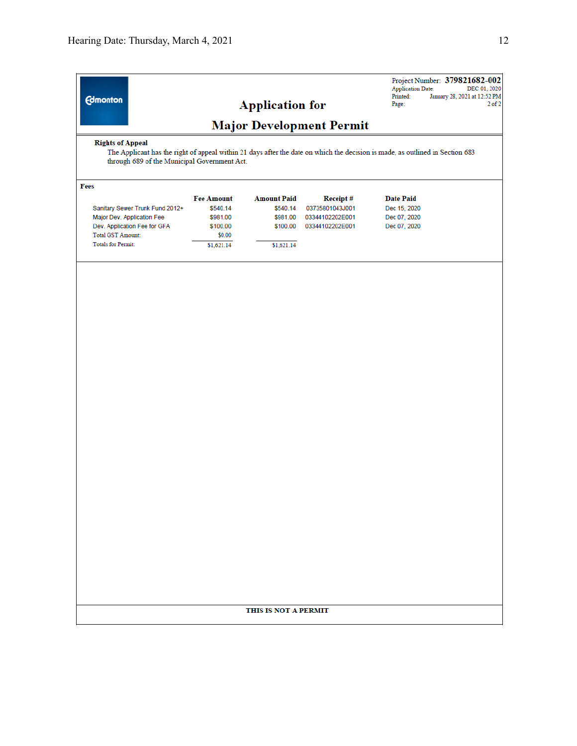| <b>Edmonton</b>                                                                                                                                                                                          |                                 | <b>Application for</b> |                 | <b>Application Date:</b><br>Printed:<br>Page: | Project Number: 379821682-002<br>DEC 01, 2020<br>January 28, 2021 at 12:52 PM<br>$2$ of $2$ |  |  |
|----------------------------------------------------------------------------------------------------------------------------------------------------------------------------------------------------------|---------------------------------|------------------------|-----------------|-----------------------------------------------|---------------------------------------------------------------------------------------------|--|--|
|                                                                                                                                                                                                          | <b>Major Development Permit</b> |                        |                 |                                               |                                                                                             |  |  |
| <b>Rights of Appeal</b><br>The Applicant has the right of appeal within 21 days after the date on which the decision is made, as outlined in Section 683<br>through 689 of the Municipal Government Act. |                                 |                        |                 |                                               |                                                                                             |  |  |
| Fees                                                                                                                                                                                                     |                                 |                        |                 |                                               |                                                                                             |  |  |
|                                                                                                                                                                                                          | <b>Fee Amount</b>               | <b>Amount Paid</b>     | Receipt#        | <b>Date Paid</b>                              |                                                                                             |  |  |
| Sanitary Sewer Trunk Fund 2012+                                                                                                                                                                          | \$540.14                        | \$540.14               | 03735801043J001 | Dec 15, 2020                                  |                                                                                             |  |  |
| Major Dev. Application Fee                                                                                                                                                                               | \$981.00                        | \$981.00               | 03344102202E001 | Dec 07, 2020                                  |                                                                                             |  |  |
| Dev. Application Fee for GFA<br>Total GST Amount:                                                                                                                                                        | \$100.00<br>\$0.00              | \$100.00               | 03344102202E001 | Dec 07, 2020                                  |                                                                                             |  |  |
| <b>Totals for Permit:</b>                                                                                                                                                                                | \$1,621.14                      | \$1,621.14             |                 |                                               |                                                                                             |  |  |
|                                                                                                                                                                                                          |                                 | THIS IS NOT A PERMIT   |                 |                                               |                                                                                             |  |  |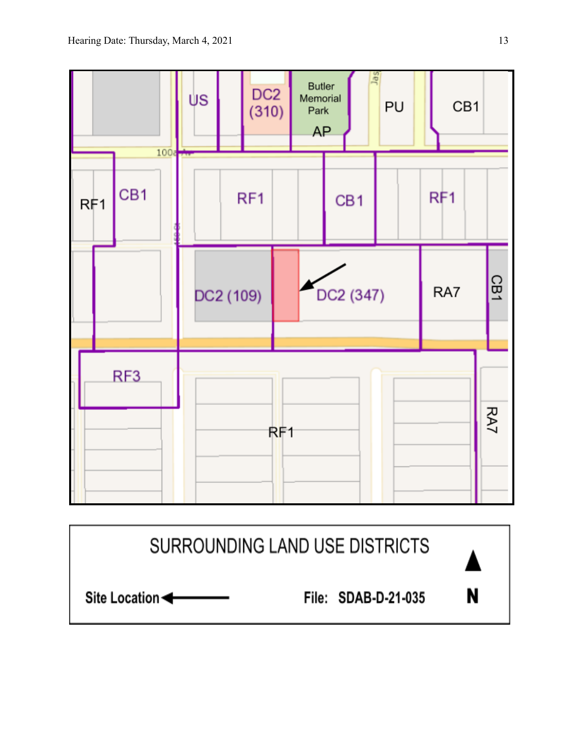

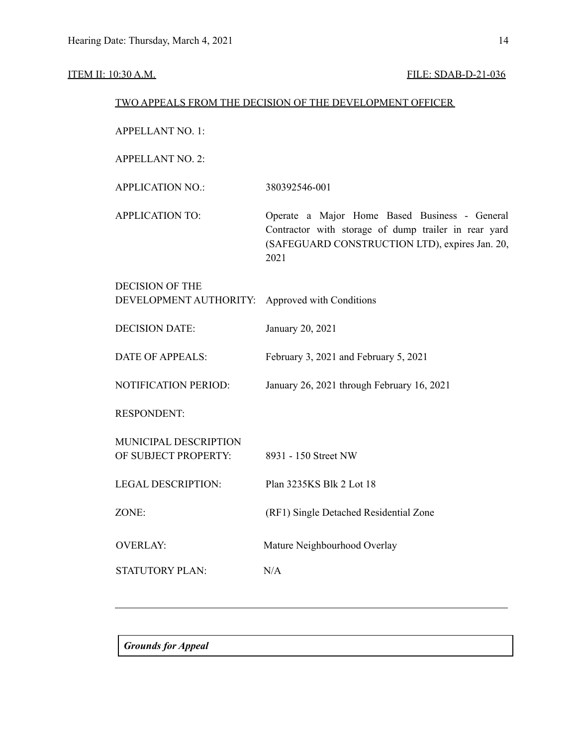## ITEM II: 10:30 A.M. FILE: SDAB-D-21-036

| TWO APPEALS FROM THE DECISION OF THE DEVELOPMENT OFFICER |                                                                                                                                                                 |  |  |  |
|----------------------------------------------------------|-----------------------------------------------------------------------------------------------------------------------------------------------------------------|--|--|--|
| <b>APPELLANT NO. 1:</b>                                  |                                                                                                                                                                 |  |  |  |
| <b>APPELLANT NO. 2:</b>                                  |                                                                                                                                                                 |  |  |  |
| <b>APPLICATION NO.:</b>                                  | 380392546-001                                                                                                                                                   |  |  |  |
| <b>APPLICATION TO:</b>                                   | Operate a Major Home Based Business - General<br>Contractor with storage of dump trailer in rear yard<br>(SAFEGUARD CONSTRUCTION LTD), expires Jan. 20,<br>2021 |  |  |  |
| <b>DECISION OF THE</b><br>DEVELOPMENT AUTHORITY:         | Approved with Conditions                                                                                                                                        |  |  |  |
| <b>DECISION DATE:</b>                                    | January 20, 2021                                                                                                                                                |  |  |  |
| <b>DATE OF APPEALS:</b>                                  | February 3, 2021 and February 5, 2021                                                                                                                           |  |  |  |
| <b>NOTIFICATION PERIOD:</b>                              | January 26, 2021 through February 16, 2021                                                                                                                      |  |  |  |
| <b>RESPONDENT:</b>                                       |                                                                                                                                                                 |  |  |  |
| MUNICIPAL DESCRIPTION<br>OF SUBJECT PROPERTY:            | 8931 - 150 Street NW                                                                                                                                            |  |  |  |
| <b>LEGAL DESCRIPTION:</b>                                | Plan 3235KS Blk 2 Lot 18                                                                                                                                        |  |  |  |
| ZONE:                                                    | (RF1) Single Detached Residential Zone                                                                                                                          |  |  |  |
| <b>OVERLAY:</b>                                          | Mature Neighbourhood Overlay                                                                                                                                    |  |  |  |
| STATUTORY PLAN:                                          | N/A                                                                                                                                                             |  |  |  |
|                                                          |                                                                                                                                                                 |  |  |  |

*Grounds for Appeal*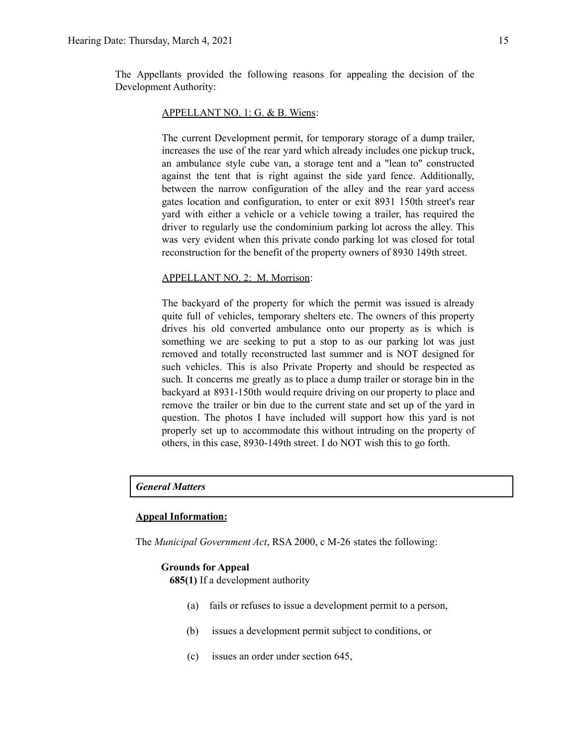The Appellants provided the following reasons for appealing the decision of the Development Authority:

#### APPELLANT NO. 1: G. & B. Wiens:

The current Development permit, for temporary storage of a dump trailer, increases the use of the rear yard which already includes one pickup truck, an ambulance style cube van, a storage tent and a "lean to" constructed against the tent that is right against the side yard fence. Additionally, between the narrow configuration of the alley and the rear yard access gates location and configuration, to enter or exit 8931 150th street's rear yard with either a vehicle or a vehicle towing a trailer, has required the driver to regularly use the condominium parking lot across the alley. This was very evident when this private condo parking lot was closed for total reconstruction for the benefit of the property owners of 8930 149th street.

#### APPELLANT NO. 2: M. Morrison:

The backyard of the property for which the permit was issued is already quite full of vehicles, temporary shelters etc. The owners of this property drives his old converted ambulance onto our property as is which is something we are seeking to put a stop to as our parking lot was just removed and totally reconstructed last summer and is NOT designed for such vehicles. This is also Private Property and should be respected as such. It concerns me greatly as to place a dump trailer or storage bin in the backyard at 8931-150th would require driving on our property to place and remove the trailer or bin due to the current state and set up of the yard in question. The photos I have included will support how this yard is not properly set up to accommodate this without intruding on the property of others, in this case, 8930-149th street. I do NOT wish this to go forth.

#### *General Matters*

#### **Appeal Information:**

The *Municipal Government Act*, RSA 2000, c M-26 states the following:

#### **Grounds for Appeal**

**685(1)** If a development authority

- (a) fails or refuses to issue a development permit to a person,
- (b) issues a development permit subject to conditions, or
- (c) issues an order under section 645,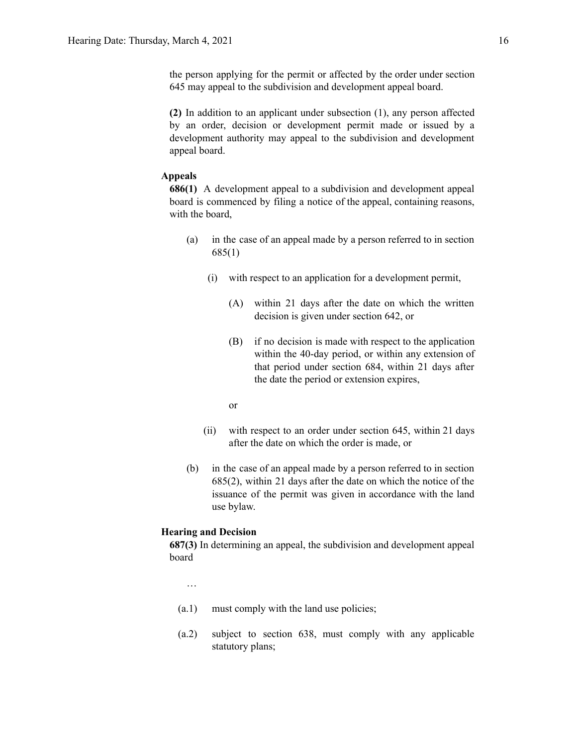the person applying for the permit or affected by the order under section 645 may appeal to the subdivision and development appeal board.

**(2)** In addition to an applicant under subsection (1), any person affected by an order, decision or development permit made or issued by a development authority may appeal to the subdivision and development appeal board.

#### **Appeals**

**686(1)** A development appeal to a subdivision and development appeal board is commenced by filing a notice of the appeal, containing reasons, with the board,

- (a) in the case of an appeal made by a person referred to in section 685(1)
	- (i) with respect to an application for a development permit,
		- (A) within 21 days after the date on which the written decision is given under section 642, or
		- (B) if no decision is made with respect to the application within the 40-day period, or within any extension of that period under section 684, within 21 days after the date the period or extension expires,
		- or
	- (ii) with respect to an order under section 645, within 21 days after the date on which the order is made, or
- (b) in the case of an appeal made by a person referred to in section 685(2), within 21 days after the date on which the notice of the issuance of the permit was given in accordance with the land use bylaw.

#### **Hearing and Decision**

**687(3)** In determining an appeal, the subdivision and development appeal board

…

- (a.1) must comply with the land use policies;
- (a.2) subject to section 638, must comply with any applicable statutory plans;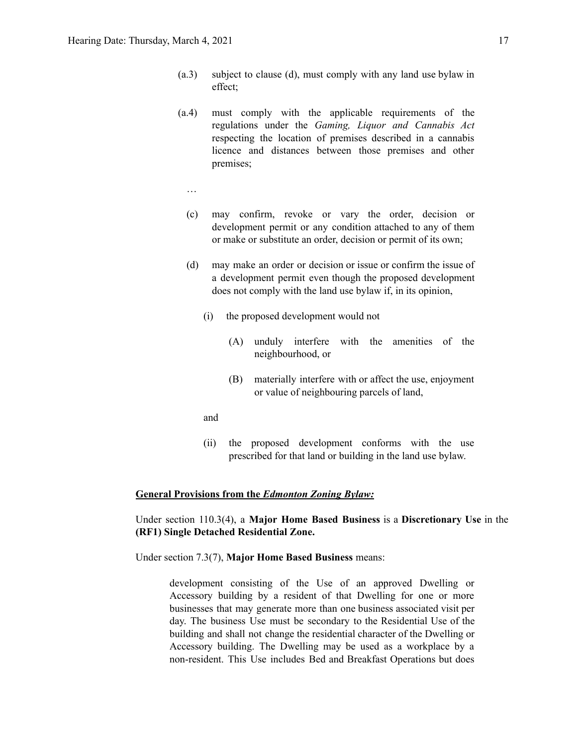- (a.3) subject to clause (d), must comply with any land use bylaw in effect;
- (a.4) must comply with the applicable requirements of the regulations under the *Gaming, Liquor and Cannabis Act* respecting the location of premises described in a cannabis licence and distances between those premises and other premises;
	- …
	- (c) may confirm, revoke or vary the order, decision or development permit or any condition attached to any of them or make or substitute an order, decision or permit of its own;
	- (d) may make an order or decision or issue or confirm the issue of a development permit even though the proposed development does not comply with the land use bylaw if, in its opinion,
		- (i) the proposed development would not
			- (A) unduly interfere with the amenities of the neighbourhood, or
			- (B) materially interfere with or affect the use, enjoyment or value of neighbouring parcels of land,
		- and
		- (ii) the proposed development conforms with the use prescribed for that land or building in the land use bylaw.

#### **General Provisions from the** *Edmonton Zoning Bylaw:*

Under section 110.3(4), a **Major Home Based Business** is a **Discretionary Use** in the **(RF1) Single Detached Residential Zone.**

Under section 7.3(7), **Major Home Based Business** means:

development consisting of the Use of an approved Dwelling or Accessory building by a resident of that Dwelling for one or more businesses that may generate more than one business associated visit per day. The business Use must be secondary to the Residential Use of the building and shall not change the residential character of the Dwelling or Accessory building. The Dwelling may be used as a workplace by a non-resident. This Use includes Bed and Breakfast Operations but does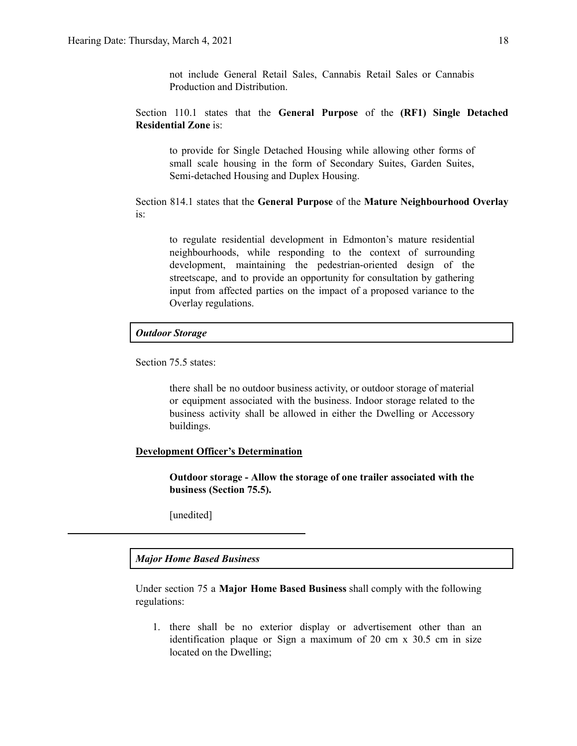not include General Retail Sales, Cannabis Retail Sales or Cannabis Production and Distribution.

Section 110.1 states that the **General Purpose** of the **(RF1) Single Detached Residential Zone** is:

to provide for Single Detached Housing while allowing other forms of small scale housing in the form of Secondary Suites, Garden Suites, Semi-detached Housing and Duplex Housing.

Section 814.1 states that the **General Purpose** of the **Mature Neighbourhood Overlay** is:

to regulate residential development in Edmonton's mature residential neighbourhoods, while responding to the context of surrounding development, maintaining the pedestrian-oriented design of the streetscape, and to provide an opportunity for consultation by gathering input from affected parties on the impact of a proposed variance to the Overlay regulations.

#### *Outdoor Storage*

Section 75.5 states:

there shall be no outdoor business activity, or outdoor storage of material or equipment associated with the business. Indoor storage related to the business activity shall be allowed in either the Dwelling or Accessory buildings.

#### **Development Officer's Determination**

**Outdoor storage - Allow the storage of one trailer associated with the business (Section 75.5).**

[unedited]

#### *Major Home Based Business*

Under section 75 a **Major Home Based Business** shall comply with the following regulations:

1. there shall be no exterior display or advertisement other than an identification plaque or Sign a maximum of 20 cm x 30.5 cm in size located on the Dwelling;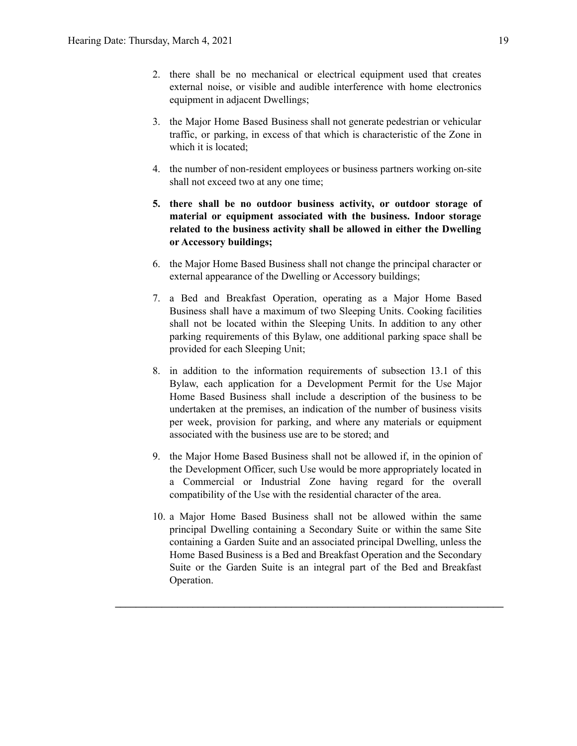- 2. there shall be no mechanical or electrical equipment used that creates external noise, or visible and audible interference with home electronics equipment in adjacent Dwellings;
- 3. the Major Home Based Business shall not generate pedestrian or vehicular traffic, or parking, in excess of that which is characteristic of the Zone in which it is located:
- 4. the number of non-resident employees or business partners working on-site shall not exceed two at any one time;
- **5. there shall be no outdoor business activity, or outdoor storage of material or equipment associated with the business. Indoor storage related to the business activity shall be allowed in either the Dwelling or Accessory buildings;**
- 6. the Major Home Based Business shall not change the principal character or external appearance of the Dwelling or Accessory buildings;
- 7. a Bed and Breakfast Operation, operating as a Major Home Based Business shall have a maximum of two Sleeping Units. Cooking facilities shall not be located within the Sleeping Units. In addition to any other parking requirements of this Bylaw, one additional parking space shall be provided for each Sleeping Unit;
- 8. in addition to the information requirements of subsection 13.1 of this Bylaw, each application for a Development Permit for the Use Major Home Based Business shall include a description of the business to be undertaken at the premises, an indication of the number of business visits per week, provision for parking, and where any materials or equipment associated with the business use are to be stored; and
- 9. the Major Home Based Business shall not be allowed if, in the opinion of the Development Officer, such Use would be more appropriately located in a Commercial or Industrial Zone having regard for the overall compatibility of the Use with the residential character of the area.
- 10. a Major Home Based Business shall not be allowed within the same principal Dwelling containing a Secondary Suite or within the same Site containing a Garden Suite and an associated principal Dwelling, unless the Home Based Business is a Bed and Breakfast Operation and the Secondary Suite or the Garden Suite is an integral part of the Bed and Breakfast Operation.

**\_\_\_\_\_\_\_\_\_\_\_\_\_\_\_\_\_\_\_\_\_\_\_\_\_\_\_\_\_\_\_\_\_\_\_\_\_\_\_\_\_\_\_\_\_\_\_\_\_\_\_\_\_\_\_\_\_\_\_\_\_\_\_\_\_\_\_\_\_\_\_\_\_\_\_**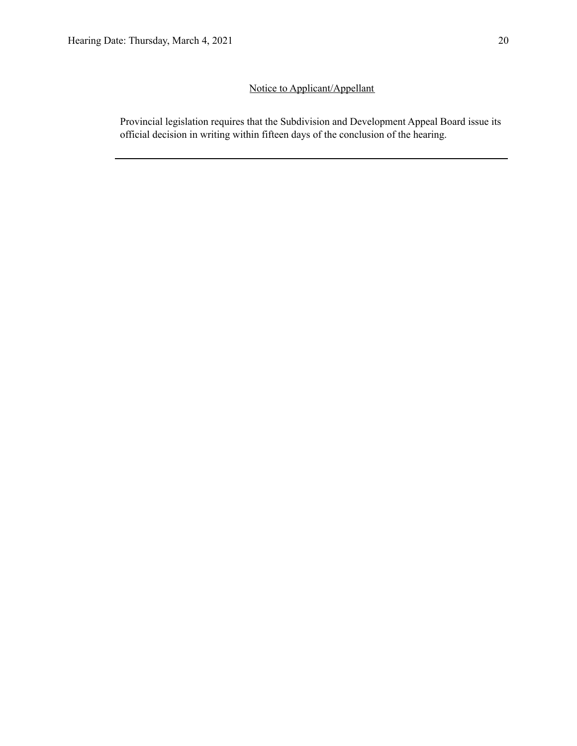## Notice to Applicant/Appellant

Provincial legislation requires that the Subdivision and Development Appeal Board issue its official decision in writing within fifteen days of the conclusion of the hearing.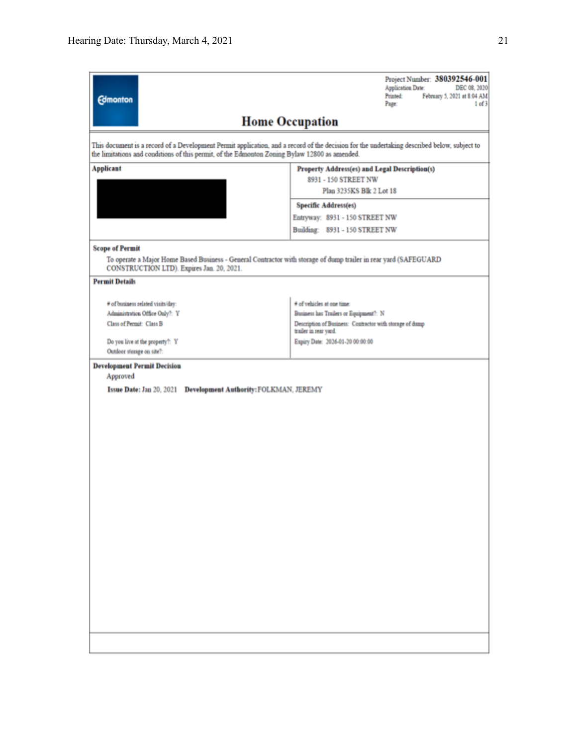| <b>Edmonton</b>                                                                               | Project Number: 380392546-001<br><b>Application Date:</b><br>DEC 08, 2020<br>Printed:<br>February 5, 2021 at 8:04 AM<br>Page:<br>1 of 3     |  |  |  |  |  |
|-----------------------------------------------------------------------------------------------|---------------------------------------------------------------------------------------------------------------------------------------------|--|--|--|--|--|
| <b>Home Occupation</b>                                                                        |                                                                                                                                             |  |  |  |  |  |
| the limitations and conditions of this permit, of the Edmonton Zoning Bylaw 12800 as amended. | This document is a record of a Development Permit application, and a record of the decision for the undertaking described below, subject to |  |  |  |  |  |
| <b>Applicant</b><br>Property Address(es) and Legal Description(s)<br>8931 - 150 STREET NW     |                                                                                                                                             |  |  |  |  |  |
|                                                                                               | Plan 3235KS Blk 2 Lot 18                                                                                                                    |  |  |  |  |  |
|                                                                                               | <b>Specific Address(es)</b>                                                                                                                 |  |  |  |  |  |
|                                                                                               | Entryway: 8931 - 150 STREET NW                                                                                                              |  |  |  |  |  |
|                                                                                               | Building: 8931 - 150 STREET NW                                                                                                              |  |  |  |  |  |
| <b>Scope of Permit</b><br>CONSTRUCTION LTD). Expires Jan. 20, 2021.                           | To operate a Major Home Based Business - General Contractor with storage of dump trailer in rear yard (SAFEGUARD                            |  |  |  |  |  |
| <b>Permit Details</b>                                                                         |                                                                                                                                             |  |  |  |  |  |
| # of business related visits/day:                                                             | # of vehicles at one time:                                                                                                                  |  |  |  |  |  |
| Administration Office Only?: Y                                                                | Business has Trailers or Equipment?: N                                                                                                      |  |  |  |  |  |
| Class of Permit: Class B                                                                      | Description of Business: Contractor with storage of dump<br>trailer in rear yard.                                                           |  |  |  |  |  |
| Do you live at the property?: Y                                                               | Expiry Date: 2026-01-20 00:00:00                                                                                                            |  |  |  |  |  |
| Outdoor storage on site?:                                                                     |                                                                                                                                             |  |  |  |  |  |
| <b>Development Permit Decision</b><br>Approved                                                |                                                                                                                                             |  |  |  |  |  |
| Issue Date: Jan 20, 2021 Development Authority: FOLKMAN, JEREMY                               |                                                                                                                                             |  |  |  |  |  |
|                                                                                               |                                                                                                                                             |  |  |  |  |  |
|                                                                                               |                                                                                                                                             |  |  |  |  |  |
|                                                                                               |                                                                                                                                             |  |  |  |  |  |
|                                                                                               |                                                                                                                                             |  |  |  |  |  |
|                                                                                               |                                                                                                                                             |  |  |  |  |  |
|                                                                                               |                                                                                                                                             |  |  |  |  |  |
|                                                                                               |                                                                                                                                             |  |  |  |  |  |
|                                                                                               |                                                                                                                                             |  |  |  |  |  |
|                                                                                               |                                                                                                                                             |  |  |  |  |  |
|                                                                                               |                                                                                                                                             |  |  |  |  |  |
|                                                                                               |                                                                                                                                             |  |  |  |  |  |
|                                                                                               |                                                                                                                                             |  |  |  |  |  |
|                                                                                               |                                                                                                                                             |  |  |  |  |  |
|                                                                                               |                                                                                                                                             |  |  |  |  |  |
|                                                                                               |                                                                                                                                             |  |  |  |  |  |
|                                                                                               |                                                                                                                                             |  |  |  |  |  |
|                                                                                               |                                                                                                                                             |  |  |  |  |  |
|                                                                                               |                                                                                                                                             |  |  |  |  |  |
|                                                                                               |                                                                                                                                             |  |  |  |  |  |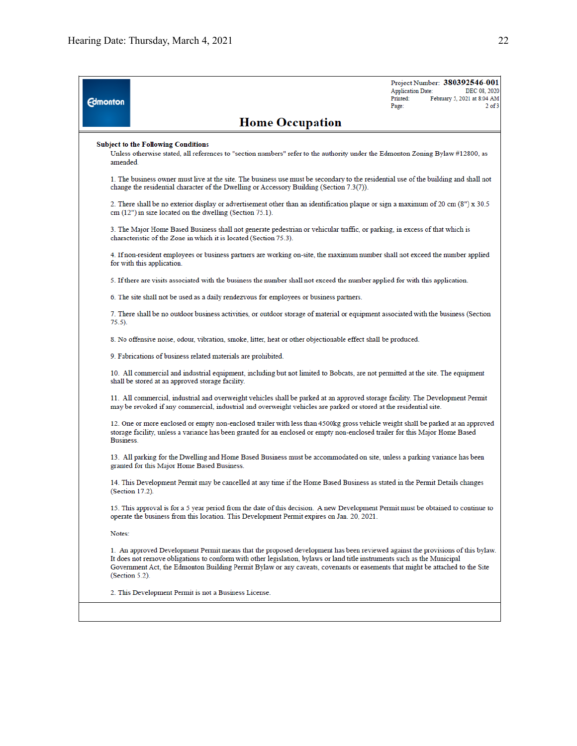| <b>Edmonton</b> |                                                                                                                                                                                                                                                                                                                                                                                                             | <b>Application Date:</b><br>Printed:<br>Page: | Project Number: 380392546-001<br>DEC 08, 2020<br>February 5, 2021 at 8:04 AM<br>$2$ of $3$ |  |  |  |
|-----------------|-------------------------------------------------------------------------------------------------------------------------------------------------------------------------------------------------------------------------------------------------------------------------------------------------------------------------------------------------------------------------------------------------------------|-----------------------------------------------|--------------------------------------------------------------------------------------------|--|--|--|
|                 | <b>Home Occupation</b>                                                                                                                                                                                                                                                                                                                                                                                      |                                               |                                                                                            |  |  |  |
|                 | <b>Subject to the Following Conditions</b><br>Unless otherwise stated, all references to "section numbers" refer to the authority under the Edmonton Zoning Bylaw #12800, as<br>amended.                                                                                                                                                                                                                    |                                               |                                                                                            |  |  |  |
|                 | 1. The business owner must live at the site. The business use must be secondary to the residential use of the building and shall not<br>change the residential character of the Dwelling or Accessory Building (Section 7.3(7)).                                                                                                                                                                            |                                               |                                                                                            |  |  |  |
|                 | 2. There shall be no exterior display or advertisement other than an identification plaque or sign a maximum of 20 cm (8") x 30.5<br>cm (12") in size located on the dwelling (Section 75.1).                                                                                                                                                                                                               |                                               |                                                                                            |  |  |  |
|                 | 3. The Major Home Based Business shall not generate pedestrian or vehicular traffic, or parking, in excess of that which is<br>characteristic of the Zone in which it is located (Section 75.3).                                                                                                                                                                                                            |                                               |                                                                                            |  |  |  |
|                 | 4. If non-resident employees or business partners are working on-site, the maximum number shall not exceed the number applied<br>for with this application.                                                                                                                                                                                                                                                 |                                               |                                                                                            |  |  |  |
|                 | 5. If there are visits associated with the business the number shall not exceed the number applied for with this application.                                                                                                                                                                                                                                                                               |                                               |                                                                                            |  |  |  |
|                 | 6. The site shall not be used as a daily rendezvous for employees or business partners.                                                                                                                                                                                                                                                                                                                     |                                               |                                                                                            |  |  |  |
|                 | 7. There shall be no outdoor business activities, or outdoor storage of material or equipment associated with the business (Section<br>75.5).                                                                                                                                                                                                                                                               |                                               |                                                                                            |  |  |  |
|                 | 8. No offensive noise, odour, vibration, smoke, litter, heat or other objectionable effect shall be produced.                                                                                                                                                                                                                                                                                               |                                               |                                                                                            |  |  |  |
|                 | 9. Fabrications of business related materials are prohibited.                                                                                                                                                                                                                                                                                                                                               |                                               |                                                                                            |  |  |  |
|                 | 10. All commercial and industrial equipment, including but not limited to Bobcats, are not permitted at the site. The equipment<br>shall be stored at an approved storage facility.                                                                                                                                                                                                                         |                                               |                                                                                            |  |  |  |
|                 | 11. All commercial, industrial and overweight vehicles shall be parked at an approved storage facility. The Development Permit<br>may be revoked if any commercial, industrial and overweight vehicles are parked or stored at the residential site.                                                                                                                                                        |                                               |                                                                                            |  |  |  |
|                 | 12. One or more enclosed or empty non-enclosed trailer with less than 4500kg gross vehicle weight shall be parked at an approved<br>storage facility, unless a variance has been granted for an enclosed or empty non-enclosed trailer for this Major Home Based<br>Business.                                                                                                                               |                                               |                                                                                            |  |  |  |
|                 | 13. All parking for the Dwelling and Home Based Business must be accommodated on site, unless a parking variance has been<br>granted for this Major Home Based Business.                                                                                                                                                                                                                                    |                                               |                                                                                            |  |  |  |
|                 | 14. This Development Permit may be cancelled at any time if the Home Based Business as stated in the Permit Details changes<br>(Section 17.2).                                                                                                                                                                                                                                                              |                                               |                                                                                            |  |  |  |
|                 | 15. This approval is for a 5 year period from the date of this decision. A new Development Permit must be obtained to continue to<br>operate the business from this location. This Development Permit expires on Jan. 20, 2021.                                                                                                                                                                             |                                               |                                                                                            |  |  |  |
|                 | Notes:                                                                                                                                                                                                                                                                                                                                                                                                      |                                               |                                                                                            |  |  |  |
|                 | 1. An approved Development Permit means that the proposed development has been reviewed against the provisions of this bylaw.<br>It does not remove obligations to conform with other legislation, bylaws or land title instruments such as the Municipal<br>Government Act, the Edmonton Building Permit Bylaw or any caveats, covenants or easements that might be attached to the Site<br>(Section 5.2). |                                               |                                                                                            |  |  |  |
|                 | 2. This Development Permit is not a Business License.                                                                                                                                                                                                                                                                                                                                                       |                                               |                                                                                            |  |  |  |
|                 |                                                                                                                                                                                                                                                                                                                                                                                                             |                                               |                                                                                            |  |  |  |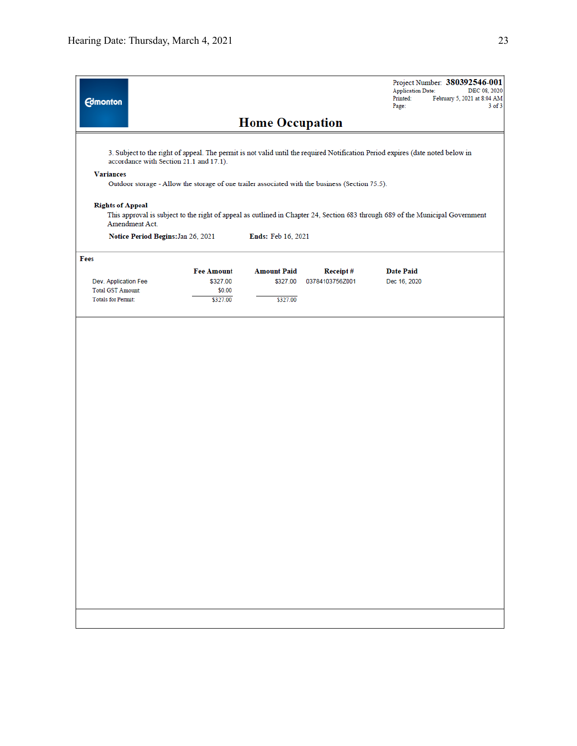| <b>Edmonton</b>                                                                                                                                                                                                                                                                                  |                                                     | <b>Home Occupation</b>                     |                             | <b>Application Date:</b><br>Printed:<br>Page: | Project Number: 380392546-001<br>DEC 08, 2020<br>February 5, 2021 at 8:04 AM<br>$3$ of $3$ |
|--------------------------------------------------------------------------------------------------------------------------------------------------------------------------------------------------------------------------------------------------------------------------------------------------|-----------------------------------------------------|--------------------------------------------|-----------------------------|-----------------------------------------------|--------------------------------------------------------------------------------------------|
| 3. Subject to the right of appeal. The permit is not valid until the required Notification Period expires (date noted below in<br>accordance with Section 21.1 and 17.1).<br><b>Variances</b><br>Outdoor storage - Allow the storage of one trailer associated with the business (Section 75.5). |                                                     |                                            |                             |                                               |                                                                                            |
| <b>Rights of Appeal</b><br>This approval is subject to the right of appeal as outlined in Chapter 24, Section 683 through 689 of the Municipal Government<br>Amendment Act.<br>Notice Period Begins: Jan 26, 2021                                                                                |                                                     | Ends: Feb 16, 2021                         |                             |                                               |                                                                                            |
|                                                                                                                                                                                                                                                                                                  |                                                     |                                            |                             |                                               |                                                                                            |
| Fees<br>Dev. Application Fee<br>Total GST Amount:<br><b>Totals for Permit:</b>                                                                                                                                                                                                                   | <b>Fee Amount</b><br>\$327.00<br>\$0.00<br>\$327.00 | <b>Amount Paid</b><br>\$327.00<br>\$327.00 | Receipt#<br>03784103756Z001 | <b>Date Paid</b><br>Dec 16, 2020              |                                                                                            |
|                                                                                                                                                                                                                                                                                                  |                                                     |                                            |                             |                                               |                                                                                            |
|                                                                                                                                                                                                                                                                                                  |                                                     |                                            |                             |                                               |                                                                                            |
|                                                                                                                                                                                                                                                                                                  |                                                     |                                            |                             |                                               |                                                                                            |
|                                                                                                                                                                                                                                                                                                  |                                                     |                                            |                             |                                               |                                                                                            |
|                                                                                                                                                                                                                                                                                                  |                                                     |                                            |                             |                                               |                                                                                            |
|                                                                                                                                                                                                                                                                                                  |                                                     |                                            |                             |                                               |                                                                                            |
|                                                                                                                                                                                                                                                                                                  |                                                     |                                            |                             |                                               |                                                                                            |
|                                                                                                                                                                                                                                                                                                  |                                                     |                                            |                             |                                               |                                                                                            |
|                                                                                                                                                                                                                                                                                                  |                                                     |                                            |                             |                                               |                                                                                            |